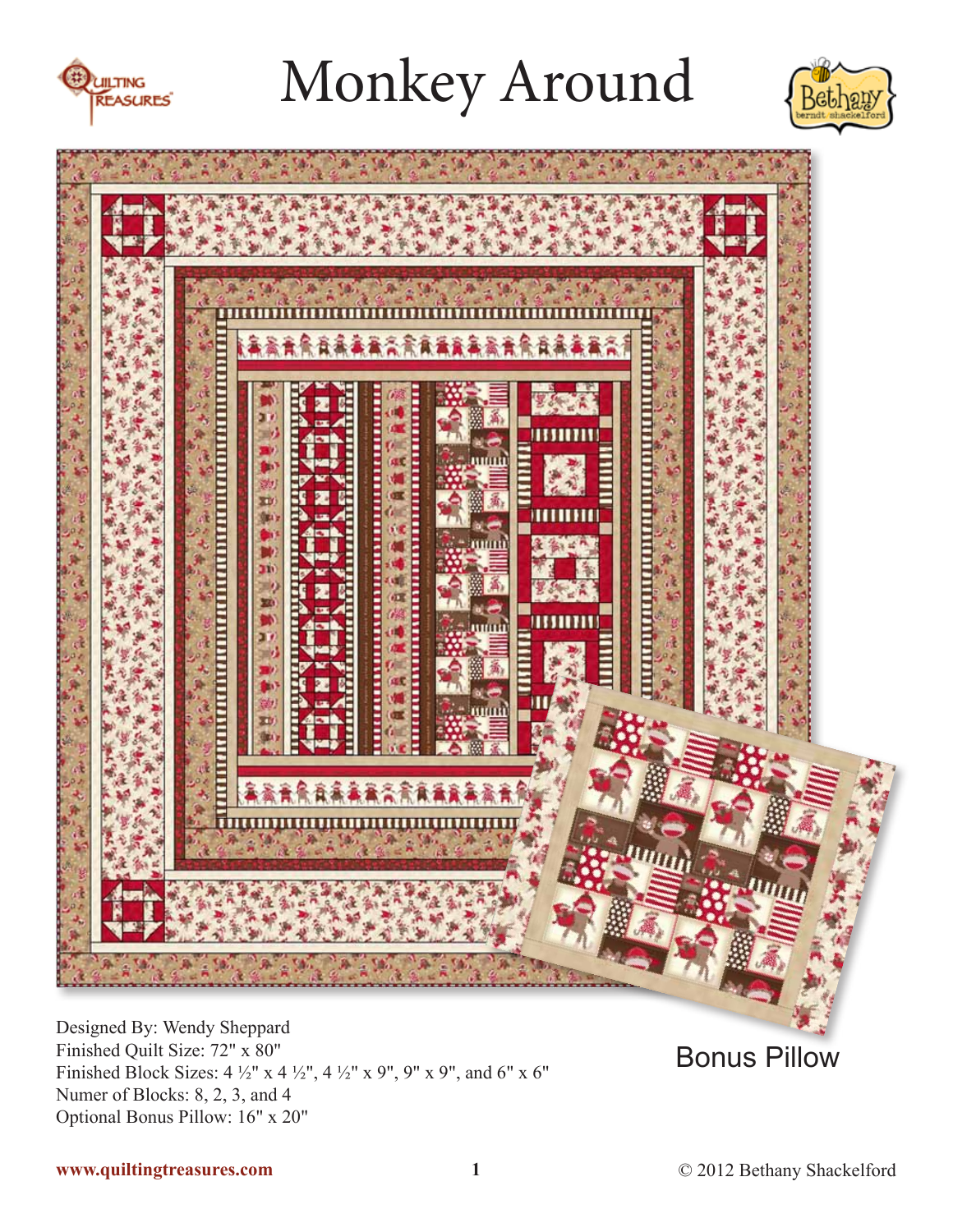





Designed By: Wendy Sheppard Finished Quilt Size: 72" x 80" Finished Block Sizes:  $4\frac{1}{2}$ " x  $4\frac{1}{2}$ ",  $4\frac{1}{2}$ " x  $9$ ",  $9$ " x  $9$ ", and  $6$ " x  $6$ " Numer of Blocks: 8, 2, 3, and 4 Optional Bonus Pillow: 16" x 20"

Bonus Pillow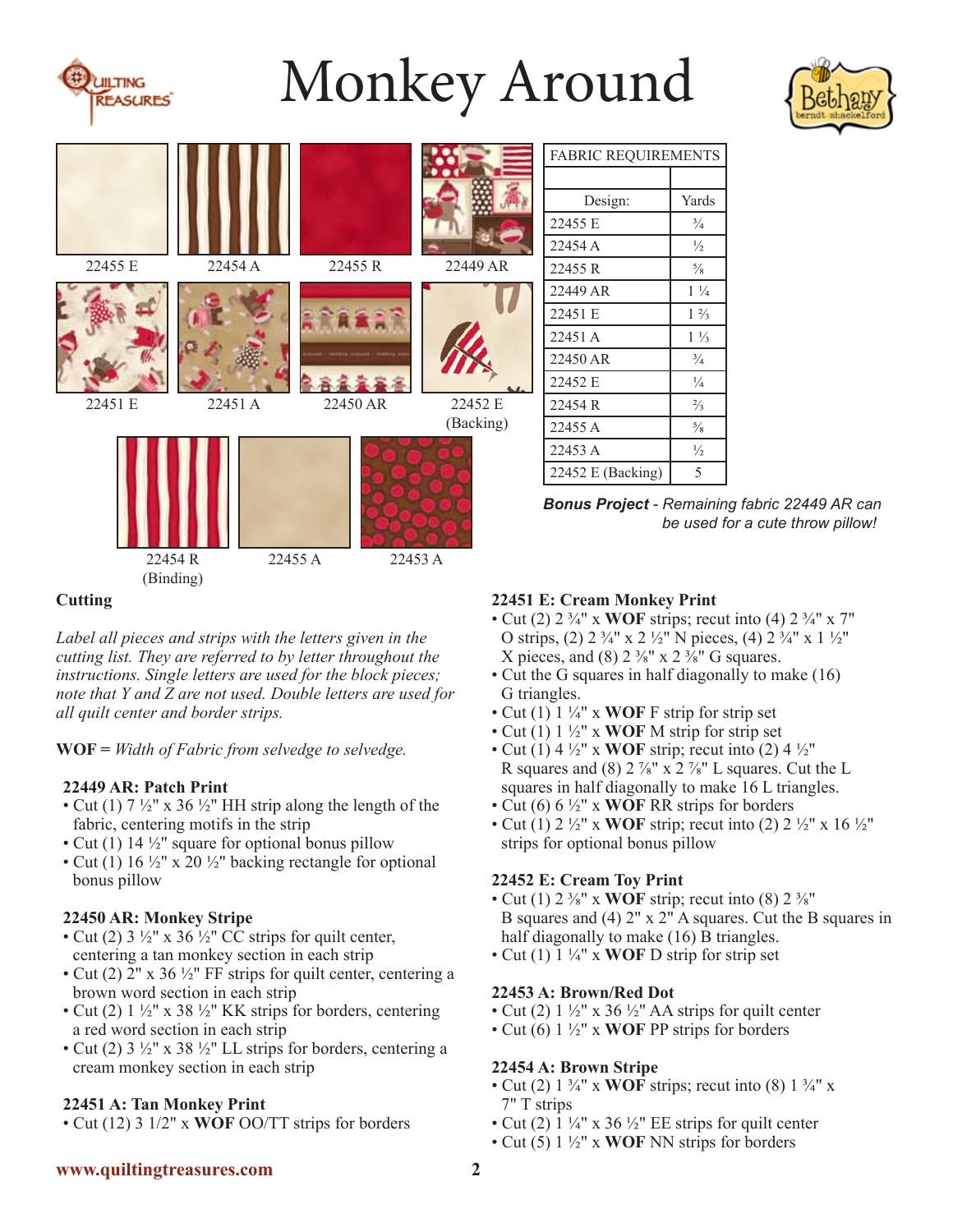



|                |           |          |                                                                                                 |           | <b>FABRIC REQUIREMENTS</b> |                |                                                                                          |
|----------------|-----------|----------|-------------------------------------------------------------------------------------------------|-----------|----------------------------|----------------|------------------------------------------------------------------------------------------|
|                |           |          |                                                                                                 |           | Design:                    | Yards          |                                                                                          |
|                |           |          |                                                                                                 |           | 22455 E                    | $\frac{3}{4}$  |                                                                                          |
|                |           |          |                                                                                                 |           | 22454 A                    | $\frac{1}{2}$  |                                                                                          |
| 22455 E        | 22454 A   | 22455 R  |                                                                                                 | 22449 AR  | 22455 R                    | $\frac{5}{8}$  |                                                                                          |
|                |           |          |                                                                                                 |           | 22449 AR                   | $1\frac{1}{4}$ |                                                                                          |
|                |           |          |                                                                                                 |           | 22451 E                    | $1\frac{2}{3}$ |                                                                                          |
|                |           |          |                                                                                                 |           | 22451 A                    | $1\frac{1}{3}$ |                                                                                          |
|                |           |          |                                                                                                 |           | 22450 AR                   | $\frac{3}{4}$  |                                                                                          |
|                |           |          |                                                                                                 |           | 22452 E                    | $\frac{1}{4}$  |                                                                                          |
| 22451 E        | 22451A    | 22450 AR |                                                                                                 | 22452 E   | 22454 R                    | $\frac{2}{3}$  |                                                                                          |
|                |           |          |                                                                                                 | (Backing) | 22455 A                    | $\frac{5}{8}$  |                                                                                          |
|                |           |          |                                                                                                 |           | 22453 A                    | $\frac{1}{2}$  |                                                                                          |
|                |           |          |                                                                                                 |           | 22452 E (Backing)          | 5              |                                                                                          |
|                |           |          |                                                                                                 |           |                            |                | <b>Bonus Project - Remaining fabric 22449 AR car</b><br>be used for a cute throw pillow! |
|                | 22454 R   | 22455 A  | 22453 A                                                                                         |           |                            |                |                                                                                          |
|                | (Binding) |          |                                                                                                 |           |                            |                |                                                                                          |
| <b>Cutting</b> |           |          | 22451 E: Cream Monkey Print<br>$\sim$ Cut (2) 2.3/ U v WOF string: result into (4) 2.3/ U v 7 U |           |                            |                |                                                                                          |

*Label all pieces and strips with the letters given in the cutting list. They are referred to by letter throughout the instructions. Single letters are used for the block pieces; note that Y and Z are not used. Double letters are used for all quilt center and border strips.*

**WOF =** *Width of Fabric from selvedge to selvedge.*

## **22449 AR: Patch Print**

- Cut (1)  $7\frac{1}{2}$ " x 36  $\frac{1}{2}$ " HH strip along the length of the fabric, centering motifs in the strip
- Cut (1) 14  $\frac{1}{2}$ " square for optional bonus pillow
- Cut (1) 16  $\frac{1}{2}$ " x 20  $\frac{1}{2}$ " backing rectangle for optional bonus pillow

## **22450 AR: Monkey Stripe**

- Cut (2)  $3\frac{1}{2}$ " x 36 $\frac{1}{2}$ " CC strips for quilt center, centering a tan monkey section in each strip
- Cut (2)  $2''$  x 36  $\frac{1}{2}''$  FF strips for quilt center, centering a brown word section in each strip
- Cut (2)  $1\frac{1}{2}$ " x 38  $\frac{1}{2}$ " KK strips for borders, centering a red word section in each strip
- Cut (2)  $3\frac{1}{2}$ " x  $38\frac{1}{2}$ " LL strips for borders, centering a cream monkey section in each strip

# **22451 A: Tan Monkey Print**

• Cut (12) 3 1/2" x **WOF** OO/TT strips for borders

- Cut (2) 2 ¾" x **WOF** strips; recut into (4) 2 ¾" x 7" O strips, (2)  $2 \frac{3}{4}$ " x  $2 \frac{1}{2}$ " N pieces, (4)  $2 \frac{3}{4}$ " x  $1 \frac{1}{2}$ " X pieces, and (8)  $2 \frac{3}{8}$ " x  $2 \frac{3}{8}$ " G squares.
- Cut the G squares in half diagonally to make (16) G triangles.
- Cut (1) 1 ¼" x **WOF** F strip for strip set
- Cut (1) 1 ½" x **WOF** M strip for strip set
- Cut (1)  $4\frac{1}{2}$ " x **WOF** strip; recut into (2)  $4\frac{1}{2}$ " R squares and (8)  $2\frac{7}{8}$ " x  $2\frac{7}{8}$ " L squares. Cut the L squares in half diagonally to make 16 L triangles.
- Cut (6) 6 ½" x **WOF** RR strips for borders
- Cut (1) 2  $\frac{1}{2}$ " x **WOF** strip; recut into (2) 2  $\frac{1}{2}$ " x 16  $\frac{1}{2}$ " strips for optional bonus pillow

# **22452 E: Cream Toy Print**

- Cut (1)  $2\frac{3}{8}$ " x **WOF** strip; recut into (8)  $2\frac{3}{8}$ " B squares and (4) 2" x 2" A squares. Cut the B squares in half diagonally to make (16) B triangles.
- Cut (1) 1 ¼" x **WOF** D strip for strip set

# **22453 A: Brown/Red Dot**

- Cut (2)  $1\frac{1}{2}$ " x 36  $\frac{1}{2}$ " AA strips for quilt center
- Cut (6) 1 ½" x **WOF** PP strips for borders

# **22454 A: Brown Stripe**

- Cut (2) 1 ¾" x **WOF** strips; recut into (8) 1 ¾" x 7" T strips
- Cut (2)  $1\frac{1}{4}$ " x 36  $\frac{1}{2}$ " EE strips for quilt center
- Cut (5) 1 ½" x **WOF** NN strips for borders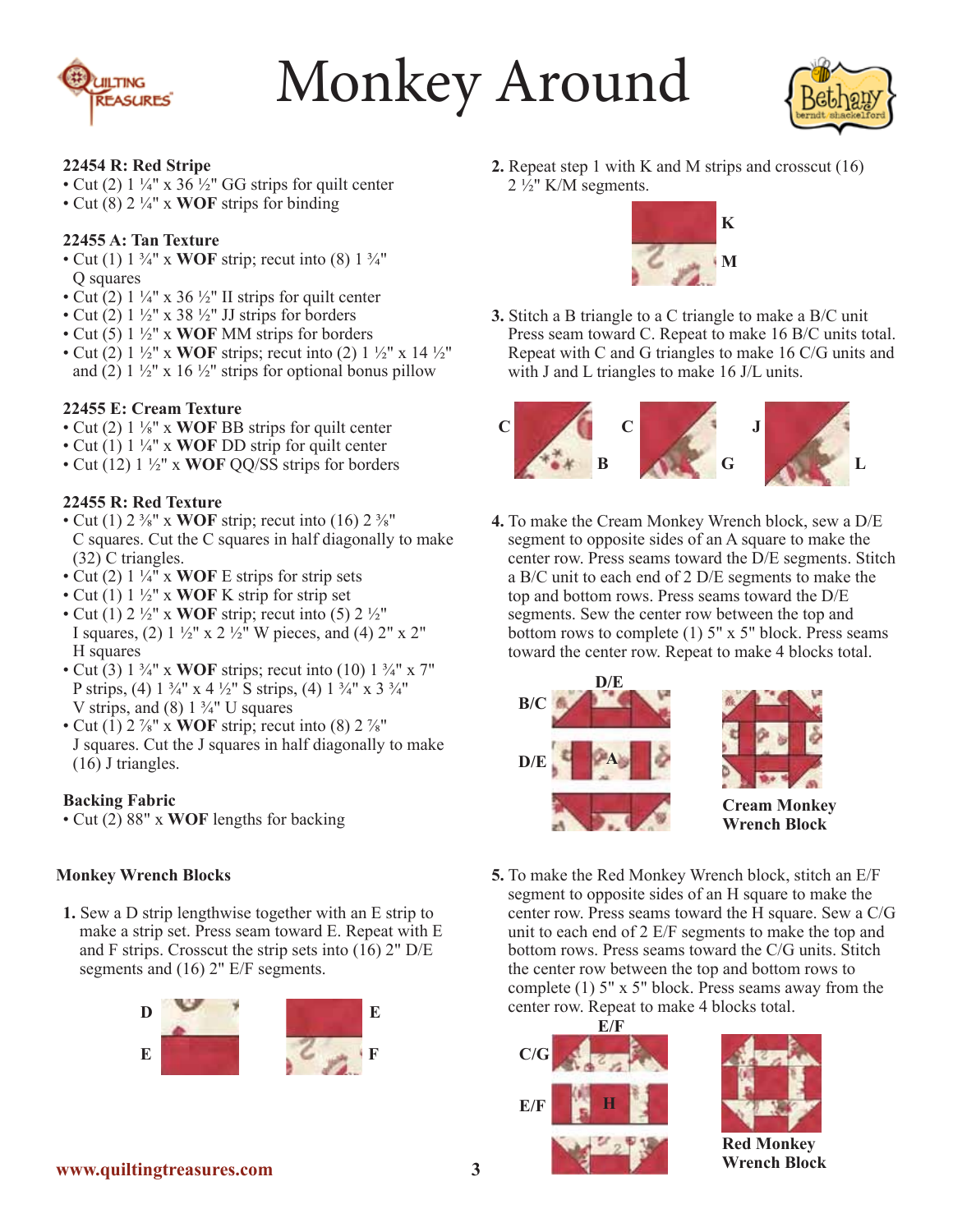



#### **22454 R: Red Stripe**

- Cut (2)  $1\frac{1}{4}$ " x 36  $\frac{1}{2}$ " GG strips for quilt center
- Cut (8) 2 ¼" x **WOF** strips for binding

#### **22455 A: Tan Texture**

- Cut (1)  $1 \frac{3}{4}$ " x **WOF** strip; recut into (8)  $1 \frac{3}{4}$ " Q squares
- Cut (2)  $1\frac{1}{4}$ " x 36  $\frac{1}{2}$ " II strips for quilt center
- Cut (2)  $1\frac{1}{2}$ " x 38  $\frac{1}{2}$ " JJ strips for borders
- Cut (5) 1 ½" x **WOF** MM strips for borders
- Cut (2) 1 ½" x **WOF** strips; recut into (2) 1 ½" x 14 ½" and (2)  $1\frac{1}{2}$ " x 16  $\frac{1}{2}$ " strips for optional bonus pillow

## **22455 E: Cream Texture**

- Cut (2) 1 ⅛" x **WOF** BB strips for quilt center
- Cut (1) 1 ¼" x **WOF** DD strip for quilt center
- Cut (12) 1 ½" x **WOF** QQ/SS strips for borders

#### **22455 R: Red Texture**

- Cut (1)  $2\frac{3}{8}$ " x **WOF** strip; recut into (16)  $2\frac{3}{8}$ " C squares. Cut the C squares in half diagonally to make (32) C triangles.
- Cut (2)  $1\frac{1}{4}$ <sup> $\cdot$ </sup> x **WOF** E strips for strip sets
- Cut (1) 1 ½" x **WOF** K strip for strip set
- Cut (1)  $2\frac{1}{2}$ " x **WOF** strip; recut into (5)  $2\frac{1}{2}$ " I squares, (2)  $1 \frac{1}{2}$ " x  $2 \frac{1}{2}$ " W pieces, and (4)  $2$ " x  $2$ " H squares
- Cut (3)  $1\frac{3}{4}$ " x **WOF** strips; recut into (10)  $1\frac{3}{4}$ " x 7" P strips, (4)  $1 \frac{3}{4}$ " x 4  $\frac{1}{2}$ " S strips, (4)  $1 \frac{3}{4}$ " x 3  $\frac{3}{4}$ " V strips, and  $(8)$  1  $\frac{3}{4}$ " U squares
- Cut  $(1)$  2  $\frac{7}{8}$ " x **WOF** strip; recut into  $(8)$  2  $\frac{7}{8}$ " J squares. Cut the J squares in half diagonally to make (16) J triangles.

#### **Backing Fabric**

• Cut (2) 88" x **WOF** lengths for backing

## **Monkey Wrench Blocks**

**1.** Sew a D strip lengthwise together with an E strip to make a strip set. Press seam toward E. Repeat with E and F strips. Crosscut the strip sets into  $(16)$  2" D/E segments and (16) 2" E/F segments.



**2.** Repeat step 1 with K and M strips and crosscut (16)  $2\frac{1}{2}$ " K/M segments.



**3.** Stitch a B triangle to a C triangle to make a B/C unit Press seam toward C. Repeat to make 16 B/C units total. Repeat with C and G triangles to make 16 C/G units and with J and L triangles to make 16 J/L units.



**4.** To make the Cream Monkey Wrench block, sew a D/E segment to opposite sides of an A square to make the center row. Press seams toward the D/E segments. Stitch a B/C unit to each end of 2 D/E segments to make the top and bottom rows. Press seams toward the D/E segments. Sew the center row between the top and bottom rows to complete  $(1)$  5" x 5" block. Press seams toward the center row. Repeat to make 4 blocks total.



**5.** To make the Red Monkey Wrench block, stitch an E/F segment to opposite sides of an H square to make the center row. Press seams toward the H square. Sew a C/G unit to each end of 2 E/F segments to make the top and bottom rows. Press seams toward the C/G units. Stitch the center row between the top and bottom rows to complete (1) 5" x 5" block. Press seams away from the center row. Repeat to make 4 blocks total.





**Red Monkey Wrench Block**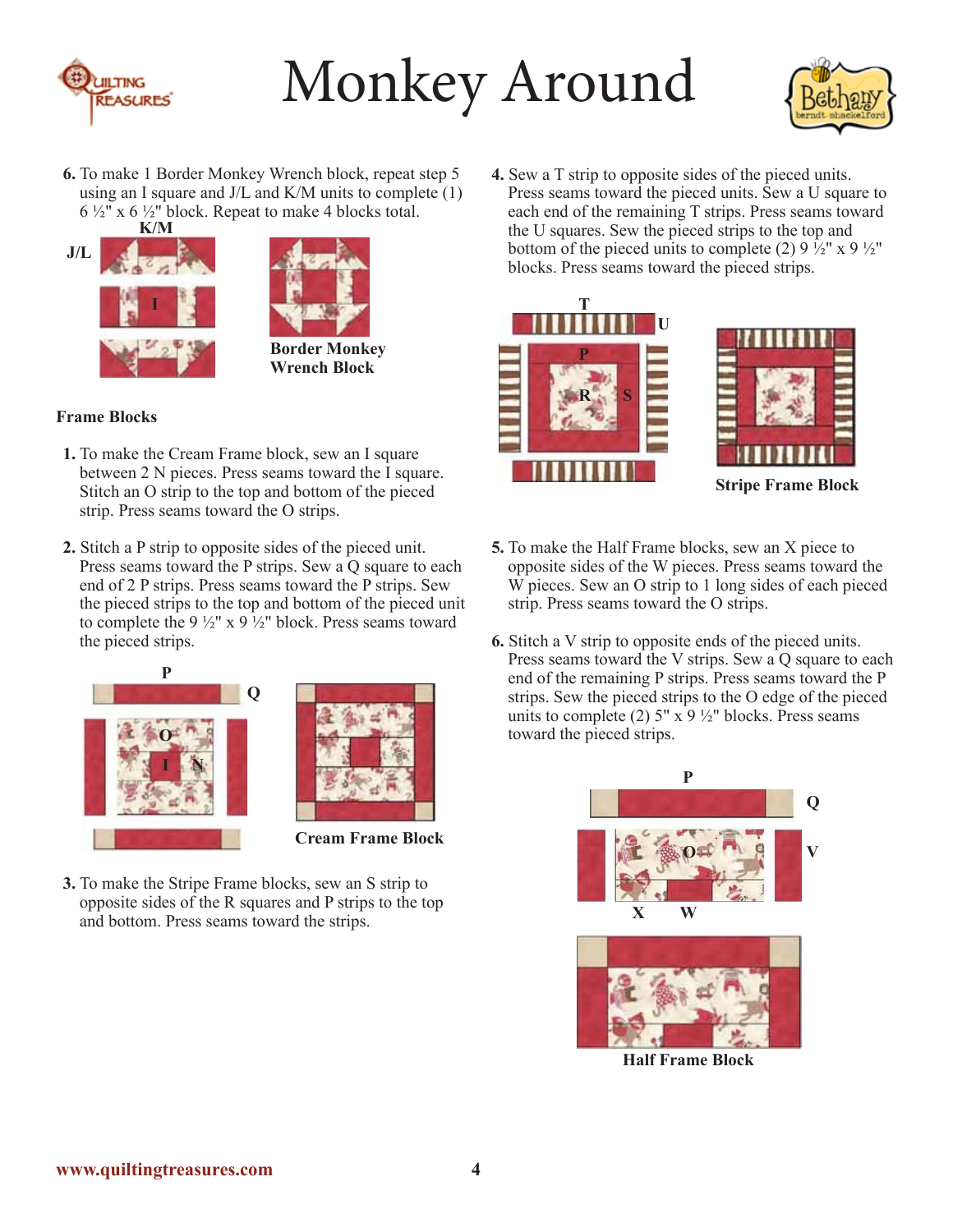



**6.** To make 1 Border Monkey Wrench block, repeat step 5 using an I square and J/L and K/M units to complete (1)  $6\frac{1}{2}$ " x  $6\frac{1}{2}$ " block. Repeat to make 4 blocks total.





## **Frame Blocks**

- **1.** To make the Cream Frame block, sew an I square between 2 N pieces. Press seams toward the I square. Stitch an O strip to the top and bottom of the pieced strip. Press seams toward the O strips.
- **2.** Stitch a P strip to opposite sides of the pieced unit. Press seams toward the P strips. Sew a Q square to each end of 2 P strips. Press seams toward the P strips. Sew the pieced strips to the top and bottom of the pieced unit to complete the 9  $\frac{1}{2}$ " x 9  $\frac{1}{2}$ " block. Press seams toward the pieced strips.





**Cream Frame Block**

**3.** To make the Stripe Frame blocks, sew an S strip to opposite sides of the R squares and P strips to the top and bottom. Press seams toward the strips.

**4.** Sew a T strip to opposite sides of the pieced units. Press seams toward the pieced units. Sew a U square to each end of the remaining T strips. Press seams toward the U squares. Sew the pieced strips to the top and bottom of the pieced units to complete (2)  $9\frac{1}{2}$  x  $9\frac{1}{2}$ " blocks. Press seams toward the pieced strips.





**Stripe Frame Block**

- **5.** To make the Half Frame blocks, sew an X piece to opposite sides of the W pieces. Press seams toward the W pieces. Sew an O strip to 1 long sides of each pieced strip. Press seams toward the O strips.
- **6.** Stitch a V strip to opposite ends of the pieced units. Press seams toward the V strips. Sew a Q square to each end of the remaining P strips. Press seams toward the P strips. Sew the pieced strips to the O edge of the pieced units to complete (2)  $5'' \times 9 \frac{1}{2}$  blocks. Press seams toward the pieced strips.



**Half Frame Block**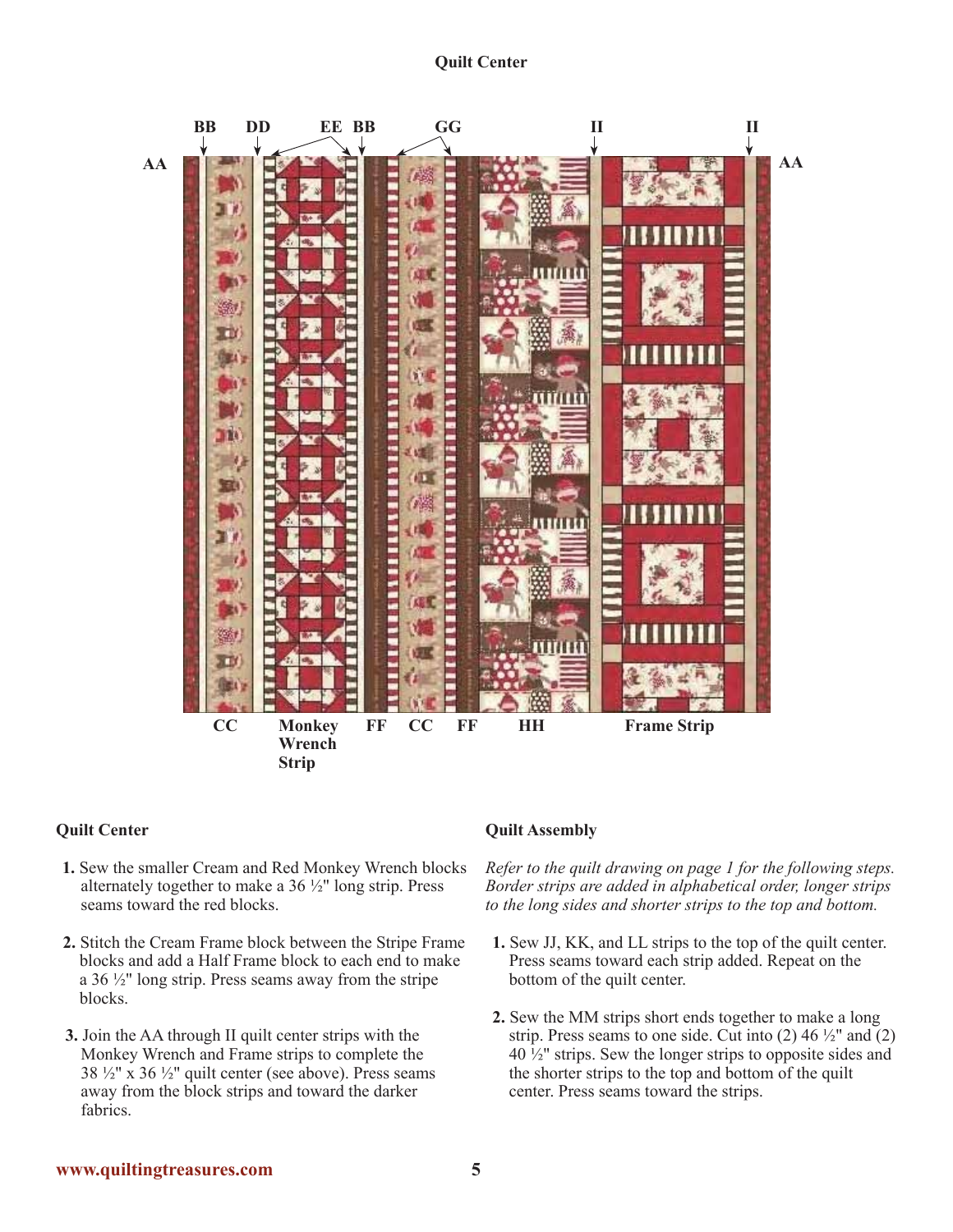

#### **Quilt Center**

- **1.** Sew the smaller Cream and Red Monkey Wrench blocks alternately together to make a 36 ½" long strip. Press seams toward the red blocks.
- **2.** Stitch the Cream Frame block between the Stripe Frame blocks and add a Half Frame block to each end to make a 36 ½" long strip. Press seams away from the stripe blocks.
- **3.** Join the AA through II quilt center strips with the Monkey Wrench and Frame strips to complete the  $38\frac{1}{2}$ " x  $36\frac{1}{2}$ " quilt center (see above). Press seams away from the block strips and toward the darker fabrics.

#### **Quilt Assembly**

*Refer to the quilt drawing on page 1 for the following steps. Border strips are added in alphabetical order, longer strips to the long sides and shorter strips to the top and bottom.*

- **1.** Sew JJ, KK, and LL strips to the top of the quilt center. Press seams toward each strip added. Repeat on the bottom of the quilt center.
- **2.** Sew the MM strips short ends together to make a long strip. Press seams to one side. Cut into  $(2)$  46  $\frac{1}{2}$ " and  $(2)$ 40 ½" strips. Sew the longer strips to opposite sides and the shorter strips to the top and bottom of the quilt center. Press seams toward the strips.